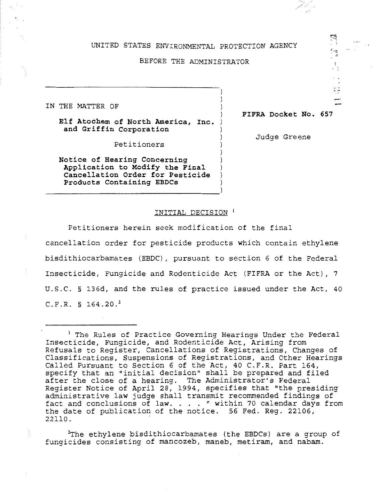#### UNITED STATES ENVIRONMENTAL PROTECTION AGENCY

### BEFORE THE ADMINISTRATOR

IN THE MATTER OF

**Elf Atochem of North America, Inc. and Griffin Corporation** 

**FIFRA Docket No. 657** 

'~

 $\ddot{a}$ 

Petitioners

**Notice of Hearing Concerning Application to Modify the Final Cancellation Order for Pesticide Products Containing EBDCs** 

Judge Greene

# INITIAL DECISION <sup>1</sup>

Petitioners herein seek modification of the final

cancellation order for pesticide products which contain ethylene bisdithiocarbamates (EBDC), pursuant to section 6 of the Federal Insecticide, Fungicide and Rodenticide Act (FIFRA or the Act), 7 U.S.C. § 136d, and the rules of practice issued under the Act, 40  $C.F.R. S 164.20.<sup>2</sup>$ 

<sup>2</sup>The ethylene bisdithiocarbamates (the EBDCs) are a group of fungicides consisting of mancozeb, maneb, metiram, and nabam.

 $^1$  The Rules of Practice Governing Hearings Under the Federal Insecticide, Fungicide, and Rodenticide Act, Arising from Refusals to Register, Cancellations of Registrations, Changes of Classifications, Suspensions of Registrations, and Other Hearings Called Pursuant to Section 6 of the Act, 40 C.F.R. Part 164, specify that an "initial decision" shall be prepared and filed after the close of a hearing. The Administrator's Federal Register Notice of April 28, 1994, specifies that "the presiding administrative law judge shall transmit recommended findings of fact and conclusions of law.  $\ldots$  " within 70 calendar days from the date of publication of the notice. 56 Fed. Reg. 22106, 22110. .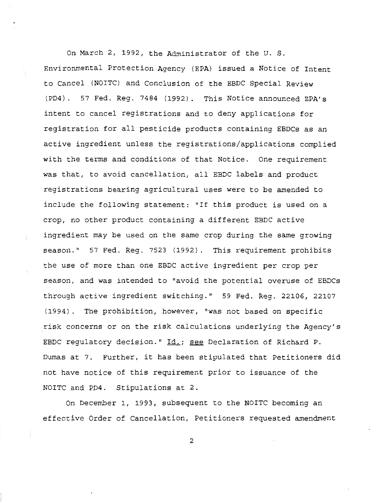On March 2, 1992, the Administrator of the U. S. Environmental Protection Agency (EPA) issued a Notice of Intent to Cancel (NOITC) and Conclusion of the EBDC Special Review (PD4). 57 Fed. Reg. 7484 (1992). This Notice announced EPA's intent to cancel registrations and to deny applications for registration for all pesticide products containing EBDCs as an active ingredient unless the registrations/applications complied with the terms and conditions of that Notice. One requirement was that, to avoid cancellation, all EBDC labels and product registrations bearing agricultural uses were to be amended to include the following statement: "If this product is used on a crop, no other product containing a different EBDC active ingredient may be used on the same crop during the same growing season." 57 Fed. Reg. 7523 (1992). This requirement prohibits the use of more than one EBDC active ingredient per crop per season, and was intended to "avoid the potential overuse of EBDCs through active ingredient switching." 59 Fed. Reg. 22106, 22107 (1994). The prohibition, however, "was not based on specific risk concerns or on the risk calculations underlying the Agency's EBDC regulatory decision." Id.; see Declaration of Richard P. Dumas at 7. Further, it has been stipulated that Petitioners did not have notice of this requirement prior to issuance of the NOITC and PD4. Stipulations at 2.

On December 1, 1993, subsequent to the NOITC becoming an effective Order of Cancellation, Petitioners requested amendment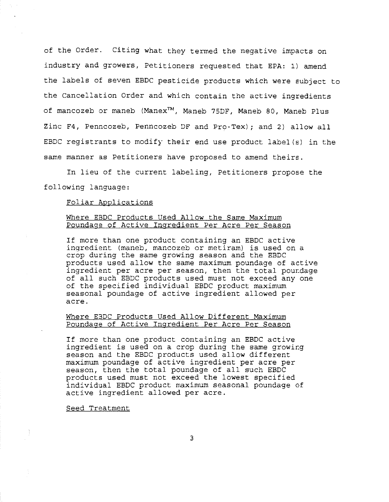of the Order. Citing what they termed the negative impacts on industry and growers, Petitioners requested that EPA: 1) amend the labels of seven EBDC pesticide products which were subject to the Cancellation Order and which contain the active ingredients of mancozeb or maneb (Manex™, Maneb 75DF, Maneb 80, Maneb Plus Zinc F4, Penncozeb, Penncozeb DF and Pro-Tex); and 2) allow all EBDC registrants to modify their end use product label(s) in the same manner as Petitioners have proposed to amend theirs.

In lieu of the current labeling, Petitioners propose the following language:

### Foliar Applications

## Where EBDC Products Used Allow the Same Maximum Poundage of Active Ingredient Per Acre Per Season

If more than one product containing an EBDC active ingredient (maneb, mancozeb or metiram) is used on a crop during the same growing season and the EBDC products used allow the same maximum poundage of active ingredient per acre per season, then the total poundage of all such EBDC products used must not exceed any one of the specified individual EBDC product maximum seasonal poundage of active ingredient allowed per acre.

## Where EBDC Products Used Allow Different Maximum Poundage of Active Ingredient Per Acre Per Season

If more than one product containing an EBDC active ingredient is used on a crop during the same growing season and the EBDC products used allow different maximum poundage of active ingredient per acre per season, then the total poundage of all such EBDC products used must not exceed the lowest specified individual EBDC product maximum seasonal poundage of active ingredient allowed per acre.

#### Seed Treatment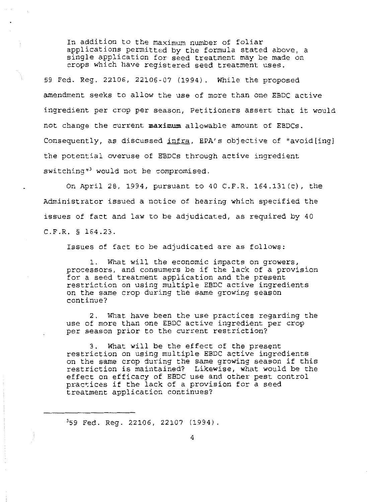In addition to the maximum number of foliar applications permitted by the formula stated above, a single application for seed treatment may be made on crops which have registered seed treatment uses.

59 Fed. Reg. 22106, 22106-07 (1994). While the proposed amendment seeks to allow the use of more than one EBDC active ingredient per crop per season, Petitioners assert that it would not change the current **maximum** allowable amount of EBDCs. Consequently, as discussed <u>infra</u>, EPA's objective of "avoid[ing] the potential overuse of EBDCs through active ingredient  $s$ witching" would not be compromised.

On April 28, 1994, pursuant to 40 C.F.R. 164.131(c), the Administrator issued a notice of hearing which specified the issues of fact and law to be adjudicated, as required by 40 C.F.R. § 164.23.

Issues of fact to be adjudicated are as follows:

1. What will the economic impacts on growers, processors, and consumers be if the lack of a provision for a seed treatment application and the present restriction on using multiple EBDC active ingredients on the same crop during the same growing season continue?

2. What have been the use practices regarding the use of more than one EBDC active ingredient per crop per season prior to the current restriction?

3. What will be the effect of the present restriction on using multiple EBDC active ingredients on the same crop during the same growing season if this restriction is maintained? Likewise, what would be the effect on efficacy of EBDC use and other pest control practices if the lack of a provision for a seed treatment application continues?

359 Fed. Reg. 22106, 22107 (1994).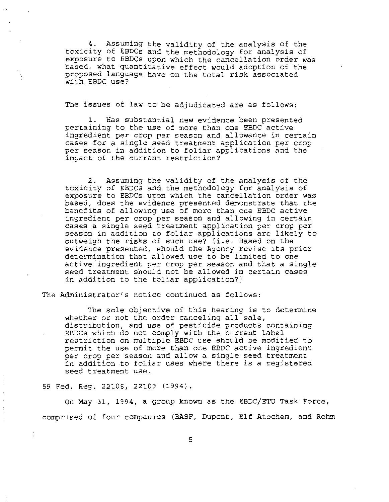4. Assuming the validity of the analysis of the toxicity of EBDCs and the methodology for analysis of exposure to EBDCs upon which the cancellation order was based, what quantitative effect would adoption of the proposed language have on the total risk associated with EBDC use?

The issues of law to be adjudicated are as follows:

1. Has substantial new evidence been presented pertaining to the use of more than one EBDC active ingredient per crop per season and allowance in certain cases for a single seed treatment application per crop per season in addition to foliar applications and the impact of the current restriction?

2. Assuming the validity of the analysis of the toxicity of EBDCs and the methodology for analysis of exposure to EBDCs upon which the cancellation order was based, does the evidence presented demonstrate that the benefits of allowing use of more than one EBDC active ingredient per crop per season and allowing in certain cases a single seed treatment application per crop per season in addition to foliar applications are likely to outweigh the risks of such use? [i.e. Based on the evidence presented, should the Agency revise its prior determination that allowed use to be limited to one active.ingredient per crop per season and that a single seed treatment should not be allowed in certain cases in addition to the foliar application?)

The Administrator's notice continued as follows:

The sole objective of this hearing is to determine whether or not the order canceling all sale, distribution, and use of pesticide products containing EBDCs which do not comply with the current label restriction on multiple EBDC use should be modified to permit the use of more than one EBDC active ingredient per crop per season and allow a single seed treatment in addition to foliar uses where there is a registered seed treatment use.

59 Fed. Reg. 22106, 22109 (1994).

On May 31, 1994, a group known as the EBDC/ETU Task Force, comprised of four companies (BASF, Dupont, Elf Atochem, and Rohm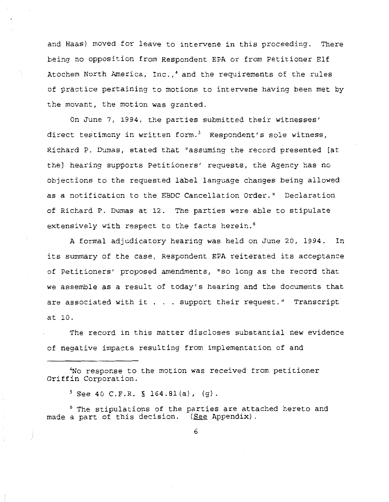and Haas) moved for leave to intervene in this proceeding. There being no opposition from Respondent EPA or from Petitioner Elf Atochem North America, Inc.,• and the requirements of the rules of practice pertaining to motions to intervene having been met by the movant, the motion was granted.

On June 7, 1994, the parties submitted their witnesses' direct testimony in written form.<sup>5</sup> Respondent's sole witness, Richard P. Dumas, stated that "assuming the record presented [at the] hearing supports Petitioners' requests, the Agency has no objections to the requested label language changes being allowed as a notification to the EBDC Cancellation Order." Declaration of Richard P. Dumas at 12. The parties were able to stipulate extensively with respect to the facts herein.<sup>6</sup>

A formal adjudicatory hearing was held on June 20, 1994. In its summary of the case, Respondent EPA reiterated its acceptance of Petitioners' proposed amendments, "so long as the record that we assemble as a result of today's hearing and the documents that are associated with it . . . support their request." Transcript at 10.

The record in this matter discloses substantial new evidence of negative impacts resulting from implementation of and

4 No response to the motion was received from petitioner Griffin Corporation.

*<sup>5</sup>*See 40 C.F.R. § 164.81 (a), (g).

 $\mathbb{Z}$ 

 $\ddot{\ddot{\varepsilon}}$ İ,

6 The stipulations of the parties are attached hereto and made a part of this decision. (See Appendix).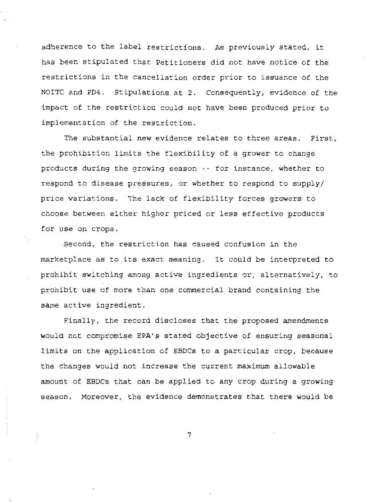adherence to the label restrictions. As previously stated, it has been stipulated that Petitioners did not have notice of the restrictions in the cancellation order prior to issuance of the NOITC and PD4. Stipulations at 2. Consequently, evidence of the impact of the restriction could not have been produced prior to implementation of the restriction.

The substantial new evidence relates to three areas. First, the prohibition limits the flexibility of a grower to change products during the growing season -- for instance, whether to respond to disease pressures, or whether to respond to supply/ price variations. The lack of flexibility forces growers to choose between either higher priced or less effective products for use on crops.

Second, the restriction has caused confusion in the marketplace as to its exact meaning. It could be interpreted to prohibit switching among active ingredients or, alternatively, to prohibit use of more than one commercial brand containing the same active ingredient.

Finally, the record discloses that the proposed amendments would not compromise EPA's stated objective of ensuring seasonal limits on the application of EBDCs to a particular crop, because the changes would not increase the current maximum allowable amount of EBDCs that can be applied to any crop during a growing season. Moreover, the evidence demonstrates that there would be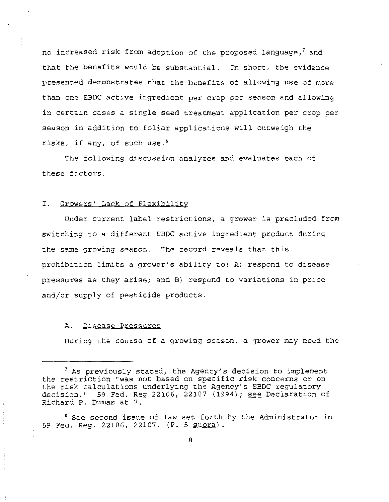no increased risk from adoption of the proposed language, $^7$  and that the benefits would be substantial. In short, the evidence presented demonstrates that the benefits of allowing use of more than one EBDC active ingredient per crop per season and allowing in certain cases a single seed treatment application per crop per season in addition to foliar applications will outweigh the risks, if any, of such use.'

The following discussion analyzes and evaluates each of these factors.

### I. Growers' Lack of Flexibility

Under current label restrictions, a grower is precluded from switching to a different EBDC active ingredient product during the same growing season. The record reveals that this prohibition limits a grower's ability to: A) respond to disease pressures as they arise; and B) respond to variations in price and/or supply of pesticide products.

## A. Disease Pressures

During the course of a growing season, a grower may need the

8 See second issue of law set forth by the Administrator in 59 Fed. Reg. 22106, 22107. (P. 5 supra).

 $<sup>7</sup>$  As previously stated, the Agency's decision to implement</sup> the restriction "was not based on specific risk concerns or on the risk calculations underlying the Agency's EBDC regulatory decision." 59 Fed. Reg 22106, 22107  $(1994)$ ; see Declaration of Richard P. Dumas at 7.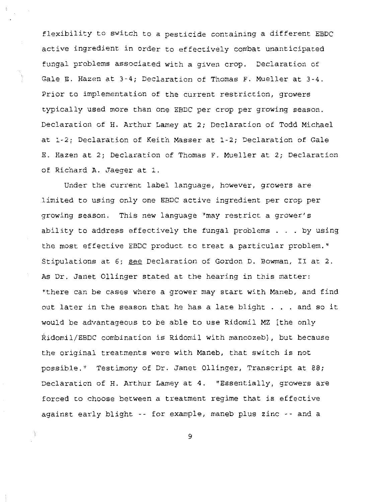flexibility to switch to a pesticide containing a different EBDC active ingredient in order to effectively combat unanticipated fungal problems associated with a given crop. Declaration of Gale E. Hazen at 3-4; Declaration of Thomas F. Mueller at 3-4. Prior to implementation of the current restriction, growers typically used more than one EBDC per crop per growing season. Declaration of H. Arthur Lamey at 2; Declaration of Todd Michael at 1-2; Declaration of Keith Masser at 1-2; Declaration of Gale E. Hazen at 2; Declaration of Thomas F. Mueller at 2; Declaration of Richard A. Jaeger at 1.

Under the current label language, however, growers are limited to using only one EBDC active ingredient per crop per growing season. This new language "may restrict a grower's ability to address effectively the fungal problems . . . by using the most effective EBDC product to treat a particular problem." Stipulations at 6; see Declaration of Gordon D. Bowman, II at 2. As Dr. Janet Ollinger stated at the hearing in this matter: "there can be cases where a grower may start with Maneb, and find out later in the season that he has a late blight . . . and so it would be advantageous to be able to use Ridomil MZ [the only Ridomil/EBDC combination is Ridomil with mancozeb], but because the original treatments were with Maneb, that switch is not possible." Testimony of Dr. Janet Ollinger, Transcript at 88; Declaration of H. Arthur Lamey at 4. "Essentially, growers are forced to choose between a treatment regime that is effective against early blight -- for example, maneb plus zinc -- and a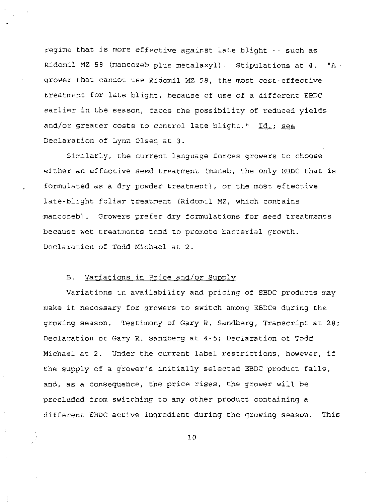regime that is more effective against late blight -- such as Ridomil MZ 58 (mancozeb plus metalaxyl). Stipulations at  $4.$  "A grower that cannot use Ridomil MZ 58, the most cost-effective treatment for late blight, because of use of a different EBDC earlier in the season, faces the possibility of reduced yields and/or greater costs to control late blight." Id.; see Declaration of Lynn Olsen at 3.

Similarly, the current language forces growers to choose either an effective seed treatment (maneb, the only EBDC that is formulated as a dry powder treatment), or the most effective late-blight foliar treatment (Ridomil MZ, which contains mancozeb) . Growers prefer dry formulations for seed treatments because wet treatments tend to promote bacterial growth. Declaration of Todd Michael at 2.

### B. Variations in Price and/or Supply

Variations in availability and pricing of EBDC products may make it necessary for growers to switch among EBDCs during the growing season. Testimony of Gary R. Sandberg, Transcript at 28; Declaration of Gary R. Sandberg at 4-5; Declaration of Todd Michael at 2. Under the current label restrictions, however, if the supply of a grower's initially selected EBDC product falls, and, as a consequence, the price rises, the grower will be precluded from switching to any other product containing a different EBDC active ingredient during the growing season. This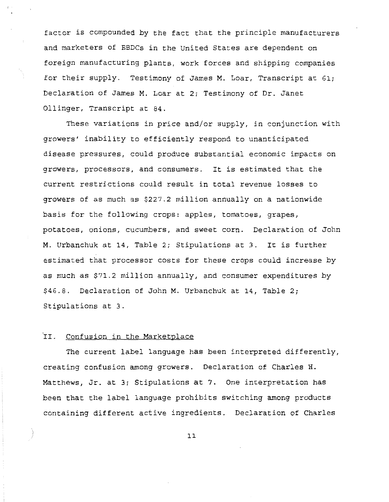factor is compounded by the fact that the principle manufacturers and marketers of EBDCs in the United States are dependent on foreign manufacturing plants, work forces and shipping companies for their supply. Testimony of James M. Loar, Transcript at 61; Declaration of James M. Loar at 2; Testimony of Dr. Janet Ollinger, Transcript at 84.

These variations in price and/or supply, in conjunction with growers' inability to efficiently respond to unanticipated disease pressures, could produce substantial economic impacts on growers, processors, and consumers. It is estimated that the current restrictions could result in total revenue losses to growers of as much as \$227.2 million annually on a nationwide basis for the following crops: apples, tomatoes, grapes, potatoes, onions, cucumbers, and sweet corn. Declaration of John M. Urbanchuk at 14, Table 2; Stipulations at 3. It is further estimated that processor costs for these crops could increase by as much as \$71.2 million annually, and consumer expenditures by \$46.8. Declaration of John M. Urbanchuk at 14, Table 2; Stipulations at 3.

# II. Confusion in the Marketplace

The current label language has been interpreted differently, creating confusion among growers. Declaration of Charles H. Matthews, Jr. at 3; Stipulations at 7. One interpretation has been that the label language prohibits switching among products containing different active ingredients. Declaration of Charles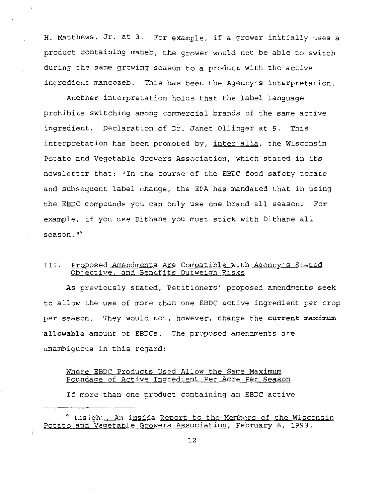H. Matthews, Jr. at 3. For example, if a grower initially uses a product containing maneb, the grower would not be able to switch during the same growing season to a product with the active ingredient mancozeb. This has been the Agency's interpretation.

Another interpretation holds that the label language prohibits switching among commercial brands of the same active ingredient. Declaration of Dr. Janet Ollinger at 5. This interpretation has been promoted by, inter alia, the Wisconsin Potato and Vegetable Growers Association, which stated in its newsletter that: "In the course of the EBDC food safety debate and subsequent label change, the EPA has mandated that in using the EBDC compounds you can only use one brand all season. For example, if you use Dithane you must stick with Dithane all **season.** "9

# III. Proposed Amendments Are Compatible with Agency's Stated Objective, and Benefits Outweigh Risks

As previously stated, Petitioners' proposed amendments seek to allow the use of more than one EBDC active ingredient per crop per season. They would not, however, change the **current maximum allowable** amount of EBDCs. The proposed amendments are unambiguous in this regard:

## Where EBDC Products Used Allow the Same Maximum Poundage of Active Ingredient Per Acre Per Season

If more than one product containing an EBDC active

<sup>9</sup> Insight, An inside Report to the Members of the Wisconsin Potato and Vegetable Growers Association, February 8, 1993.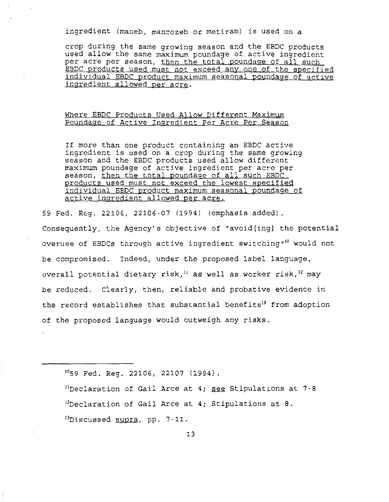ingredient (maneb, mancozeb or metiram) is used on a

crop during the same growing season and the EBDC products used allow the same maximum poundage of active ingredient per acre per season, <u>then the total poundage of all such</u> EBDC products used must not exceed any one of the specified individual EBDC product maximum seasonal poundage of active ingredient allowed per acre.

# Where EBDC Products Used Allow Different Maximum Poundage of Active Ingredient Per Acre Per Season

If more than one product containing an EBDC active ingredient is used on a crop during the same growing season and the EBDC products used allow different maximum poundage of active ingredient per acre per season, then the total poundage of all such EBDC products used must not exceed the lowest specified individual EBDC product maximum seasonal poundage of active ingredient allowed per acre.

59 Fed. Reg. 22106, 22106-07 (1994) (emphasis added).

Consequently, the Agency's objective of "avoid[ing] the potential overuse of EBDCs through active ingredient switching"<sup>10</sup> would not be compromised. Indeed, under the proposed label language, overall potential dietary risk,<sup>11</sup> as well as worker risk,<sup>12</sup> may be reduced. Clearly, then, reliable and probative evidence in the record establishes that substantial benefits<sup>13</sup> from adoption of the proposed language would outweigh any risks.

1059 Fed. Reg. 22106, 22107 (1994).

<sup>11</sup>Declaration of Gail Arce at 4; <u>see</u> Stipulations at 7-8 12Declaration of Gail Arce at 4; Stipulations at 8. <sup>13</sup>Discussed supra, pp. 7-11.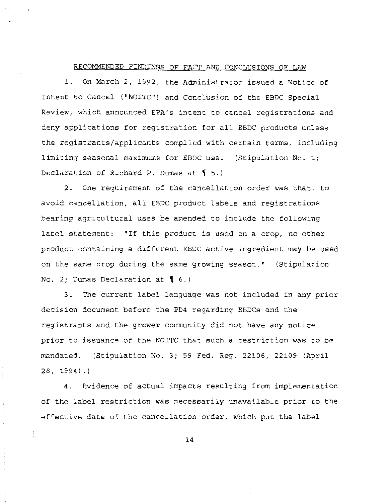#### RECOMMENDED FINDINGS OF FACT AND CONCLUSIONS OF LAW

1. On March 2, 1992, the Administrator issued a Notice of Intent to Cancel ("NOITC") and Conclusion of the EBDC Special Review, which announced EPA's intent to cancel registrations and deny applications for registration for all EBDC products unless the registrants/applicants complied with certain terms, including limiting seasonal maximums for EBDC use. (Stipulation No. 1; Declaration of Richard P. Dumas at  $\lbrace 5. \rbrace$ 

2. One requirement of the cancellation order was that, to avoid cancellation, all EBDC product labels and registrations bearing agricultural uses be amended to include the following label statement: "If this product is used on a crop, no other product containing a different EBDC active ingredient may be used on the same crop during the same growing season." (Stipulation No. 2; Dumas Declaration at  $\int$  6.)

3. The current label language was not included in any prior decision document before the PD4 regarding EBDCs and the registrants and the grower community did not have any notice prior to issuance of the NOITC that such a restriction was to be mandated. (Stipulation No. 3; 59 Fed. Reg. 22106, 22109 (April 28, 1994).)

4. Evidence of actual impacts resulting from implementation of the label restriction was necessarily unavailable prior to the effective date of the cancellation order, which put the label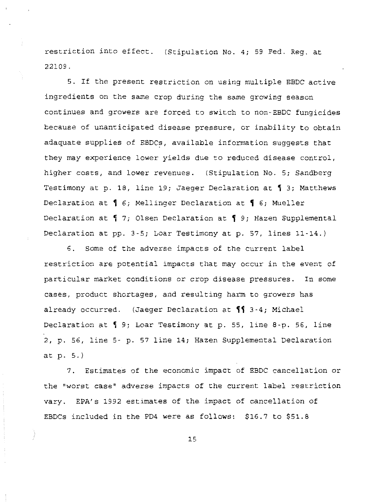restriction into effect. (Stipulation No. 4; 59 Fed. Reg. at 22109.

5. If the present restriction on using multiple EBDC active ingredients on the same crop during the same growing season continues and growers are forced to switch to non-EBDC fungicides because of unanticipated disease pressure, or inability to obtain adaquate supplies of EBDCs, available information suggests that they may experience lower yields due to reduced disease control, higher costs, and lower revenues. (Stipulation No. 5; Sandberg Testimony at p. 18, line 19; Jaeger Declaration at  $\P$  3; Matthews Declaration at  $\lceil 6$ ; Mellinger Declaration at  $\lceil 6$ ; Mueller Declaration at  $\parallel$  7; Olsen Declaration at  $\parallel$  9; Hazen Supplemental Declaration at pp. 3-5; Loar Testimony at p. 57, lines 11-14.)

6. Some of the adverse impacts of the current label restriction are potential impacts that may occur in the event of particular market conditions or crop disease pressures. In some cases, product shortages, and resulting harm to growers has already occurred. (Jaeger Declaration at  $\P$  3-4; Michael Declaration at  $\sqrt{9}$ ; Loar Testimony at p. 55, line 8-p. 56, line 2, p. 56, line 5- p. 57 line 14; Hazen Supplemental Declaration at p. 5.)

7. Estimates of the economic impact of EBDC cancellation or the "worst case" adverse impacts of the current label restriction vary. EPA's 1992 estimates of the impact of cancellation of EBDCs included in the PD4 were as follows: \$16.7 to \$51.8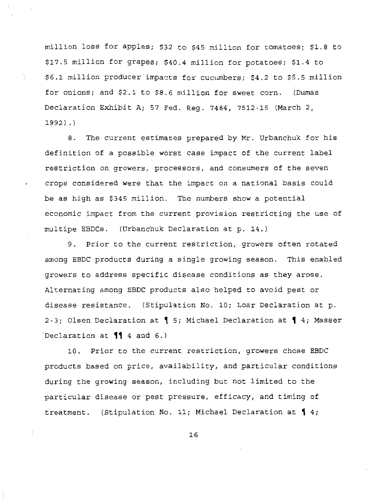million loss for apples; \$32 to \$45 million for tomatoes; \$1.8 to \$17.5 million for grapes; \$40.4 million for potatoes; \$1.4 to \$6.1 million producer impacts for cucumbers; \$4.2 to \$5.5 million for onions; and \$2.1 to \$8.6 million for sweet corn. (Dumas Declaration Exhibit A; 57 Fed. Reg. 7484, 7512-15 (March 2, 1992) .)

8. The current estimates prepared by Mr. Urbanchuk for his definition of a possible worst case impact of the current label restriction on growers, processors, and consumers of the seven crops considered were that the impact on a national basis could be as high as \$345 million. The numbers show a potential economic impact from the current provision restricting the use of multipe EBDCs. (Urbanchuk Declaration at p. 14.)

9. Prior to the current restriction, growers often rotated among EBDC products during a single growing season. This enabled growers to address specific disease conditions as they arose. Alternating among EBDC products also helped to avoid pest or disease resistance. (Stipulation No. 10; Loar Declaration at p. 2-3; Olsen Declaration at  $\P$  5; Michael Declaration at  $\P$  4; Masser Declaration at  $\P$  4 and 6.)

10. Prior to the current restriction, growers chose EBDC products based on price, availability, and particular conditions during the growing season, including but not limited to the particular disease or pest pressure, efficacy, and timing of treatment. (Stipulation No. 11; Michael Declaration at  $\lbrace 4; \rbrace$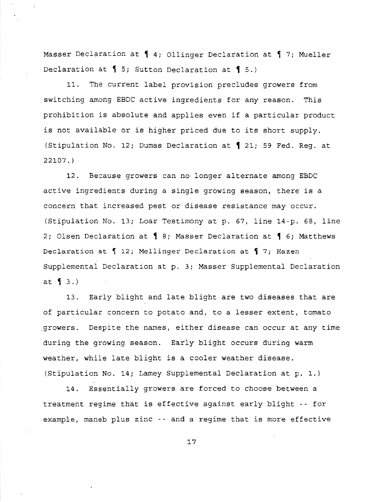Masser Declaration at  $\int 4$ ; Ollinger Declaration at  $\int 7$ ; Mueller Declaration at  $\frac{1}{5}$ ; Sutton Declaration at  $\frac{1}{5}$ .)

11. The current label provision precludes growers from switching among EBDC active ingredients for any reason. This prohibition is absolute and applies even if a particular product is not available or is higher priced due to its short supply. (Stipulation No. 12; Dumas Declaration at  $\big\{$  21; 59 Fed. Reg. at 22107.)

12. Because growers can no longer alternate among EBDC active ingredients during a single growing season, there is a concern that increased pest or disease resistance may occur. (Stipulation No. 13; Loar Testimony at p. 67, line 14-p. 68, line 2; Olsen Declaration at  $\frac{q}{1}$  8; Masser Declaration at  $\frac{q}{1}$  6; Matthews Declaration at  $\int$  12; Mellinger Declaration at  $\int$  7; Hazen Supplemental Declaration at p. 3; Masser Supplemental Declaration at  $\left\{ 3.\right\}$ 

13. Early blight and late blight are two diseases that are of particular concern to potato and, to a lesser extent, tomato \_growers. Despite the names, either disease can occur at any time during the growing season. Early blight occurs during warm weather, while late blight is a cooler weather disease. (Stipulation No. 14; Lamey Supplemental Declaration at p. 1.)

14. Essentially growers are forced to choose between a treatment regime that is effective against early blight -- for example, maneb plus zinc  $-$  and a regime that is more effective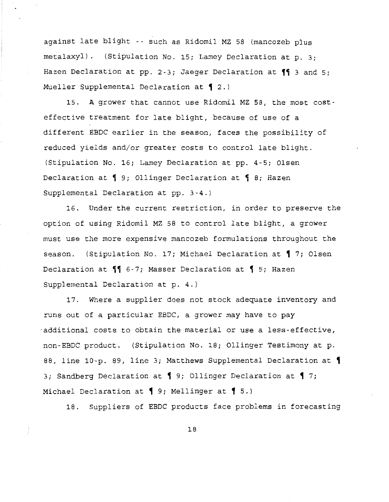against late blight -- such as Ridomil MZ 58 (mancozeb plus metalaxyl) . (Stipulation No. 15; Lamey Declaration at p. 3; Hazen Declaration at pp. 2-3; Jaeger Declaration at  $\P$  3 and 5; Mueller Supplemental Declaration at  $\lbrace 2. \rangle$ 

15. A grower that cannot use Ridomil MZ 58, the most costeffective treatment for late blight, because of use of a different EBDC earlier in the season, faces the possibility of reduced yields and/or greater costs to control late blight. (Stipulation No. 16; Lamey Declaration at pp. 4-5; Olsen Declaration at  $\P$  9; Ollinger Declaration at  $\P$  8; Hazen Supplemental Declaration at pp. 3-4.)

16. Under the current restriction, in order to preserve the option of using Ridomil MZ 58 to control late blight, a grower must use the more expensive mancozeb formulations throughout the season. (Stipulation No. 17; Michael Declaration at  $\P$  7; Olsen Declaration at  $\P$  6-7; Masser Declaration at  $\I$  5; Hazen Supplemental Declaration at p. 4.)

17. Where a supplier does not stock adequate inventory and runs out of a particular EBDC, a grower may have to pay ·additional costs to obtain the material or use a less-effective, non-EBDC product. (Stipulation No. 18; Ollinger Testimony at p. 88, line 10-p. 89, line 3; Matthews Supplemental Declaration at 1 3; Sandberg Declaration at 1 9; Ollinger Declaration at 1 7; Michael Declaration at 1 9; Mellinger at 1 5.)

18. Suppliers of EBDC products face problems in forecasting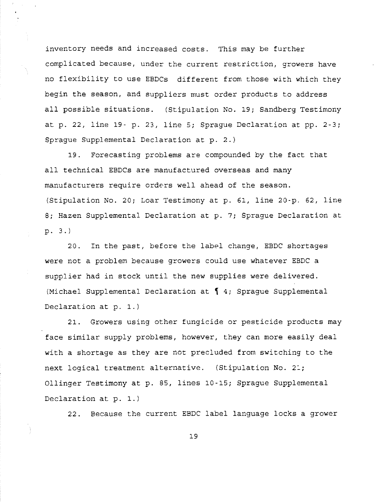inventory needs and increased costs. This may be further complicated because, under the current restriction, growers have no flexibility to use EBDCs different from those with which they begin the season, and suppliers must order products to address all possible situations. (Stipulation No. 19; Sandberg Testimony at p. 22, line 19· p. 23, line 5; Sprague Declaration at pp. 2-3; Sprague Supplemental Declaration at p. 2.)

19. Forecasting problems are compounded by the fact that all technical EBDCs are manufactured overseas and many manufacturers require orders well ahead of the season. (Stipulation No. 20; Loar Testimony at p. 61, line 20-p. 62, line 8; Hazen Supplemental Declaration at p. 7; Sprague Declaration at p. 3.)

20. In the past, before the label change, EBDC shortages were not a problem because growers could use whatever EBDC a supplier had in stock until the new supplies were delivered. (Michael Supplemental Declaration at  $\{4;$  Sprague Supplemental Declaration at p. 1.)

21. Growers using other fungicide or pesticide products may face similar supply problems, however, they can more easily deal with a shortage as they are not precluded from switching to the next logical treatment alternative. (Stipulation No. 21; Ollinger Testimony at p. 85, lines 10-15; Sprague Supplemental Declaration at p. 1.)

22. Because the current EBDC label language locks a grower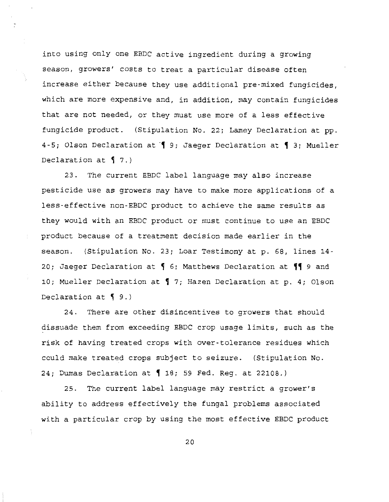into using only one EBDC active ingredient during a growing season, growers' costs to treat a particular disease often increase either because they use additional pre-mixed fungicides, which are more expensive and, in addition, may contain fungicides that are not needed, or they must use more of a less effective fungicide product. (Stipulation No. 22; Lamey Declaration at pp. 4-5; Olson Declaration at 19; Jaeger Declaration at 13; Mueller Declaration at  $\sqrt{7}$ .)

23. The current EBDC label language may also increase pesticide use as growers may have to make more applications of a less-effective non-EBDC product to achieve the same results as they would with an EBDC product or must continue to use an EBDC product because of a treatment decision made earlier in the season. (Stipulation No. 23; Loar Testimony at p. 68, lines 14- 20; Jaeger Declaration at  $\frac{1}{3}$  6; Matthews Declaration at  $\frac{1}{3}$  9 and 10; Mueller Declaration at  $\sqrt{7}$ ; Hazen Declaration at p. 4; Olson Declaration at  $\P$  9.)

24. There are other disincentives to growers that should dissuade them from exceeding EBDC crop usage limits, such as the risk of having treated crops with over-tolerance residues which could make treated crops subject to seizure. (Stipulation No. 24; Dumas Declaration at  $\big\{\,18;\,59\,$  Fed. Reg. at 22108.)

25. The current label language may restrict a grower's ability to address effectively the fungal problems associated with a particular crop by using the most effective EBDC product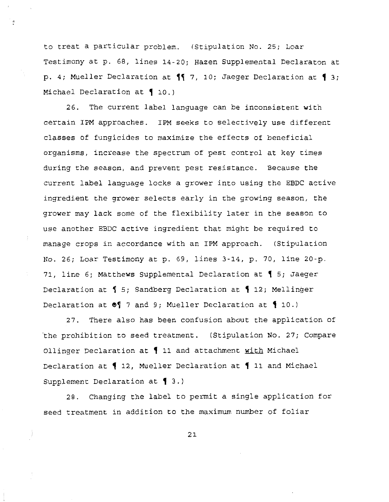to treat a particular problem. (Stipulation No. 25; Loar Testimony at p. 68, lines 14-20; Hazen Supplemental Declaraton at p. 4; Mueller Declaration at  $\P$  7, 10; Jaeger Declaration at  $\{$  3; Michael Declaration at 10.)

26. The current label language can be inconsistent with certain IPM approaches. IPM seeks to selectively use different classes of fungicides to maximize the effects of beneficial organisms, increase the spectrum of pest control at key times during the season, and prevent pest resistance. Because the current label language locks a grower into using the EBDC active ingredient the grower selects early in the growing season, the grower may lack some of the flexibility later in the season to use another EBDC active ingredient that might be required to manage crops in accordance with an IPM approach. (Stipulation No. 26; Loar Testimony at p. 69, lines 3-14, p. 70, line 20-p. 71, line 6; Matthews Supplemental Declaration at  $\lbrace$  5; Jaeger Declaration at  $\frac{1}{5}$ ; Sandberg Declaration at  $\frac{1}{5}$  12; Mellinger Declaration at  $\bullet$  7 and 9; Mueller Declaration at  $\{$  10.)

27. There also has been confusion about the application of 'the prohibition to seed treatment. (Stipulation No. 27; Compare Ollinger Declaration at 11 and attachment with Michael Declaration at  $\lbrace$  12, Mueller Declaration at  $\lbrace$  11 and Michael Supplement Declaration at  $\{$  3.)

28. Changing the label to permit a single application for seed treatment in addition to the maximum number of foliar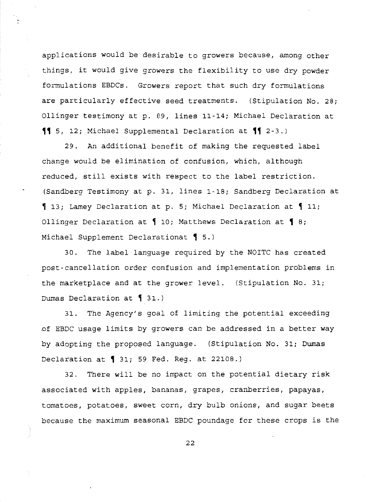applications would be desirable to growers because, among other things, it would give growers the flexibility to use dry powder formulations EBDCs. Growers report that such dry formulations are particularly effective seed treatments. (Stipulation No. 28; Ollinger testimony at p. 89, lines 11-14; Michael Declaration at  $\{\}$  5, 12; Michael Supplemental Declaration at  $\{\}$  2-3.)

29. An additional benefit of making the requested label change would be elimination of confusion, which, although reduced, still exists with respect to the label restriction. (Sandberg Testimony at p. 31, lines 1-18; Sandberg Declaration at  $\lceil$  13; Lamey Declaration at p. 5; Michael Declaration at  $\lceil$  11; Ollinger Declaration at  $\P$  10; Matthews Declaration at  $\P$  8; Michael Supplement Declarationat 1 5.)

30. The label language required by the NOITC has created post-cancellation order confusion and implementation problems in the marketplace and at the grower level. (Stipulation No. 31; Dumas Declaration at  $\int 31.$ )

31. The Agency's goal of limiting the potential exceeding .of EBDC usage limits by growers can be addressed in a better way by adopting the proposed language. (Stipulation No. 31; Dumas Declaration at, 31; 59 Fed. Reg. at 22108.)

32. There will be no impact on the potential dietary risk associated with apples, bananas, grapes, cranberries, papayas, tomatoes, potatoes, sweet corn, dry bulb onions, and sugar beets because the maximum seasonal EBDC poundage for these crops is the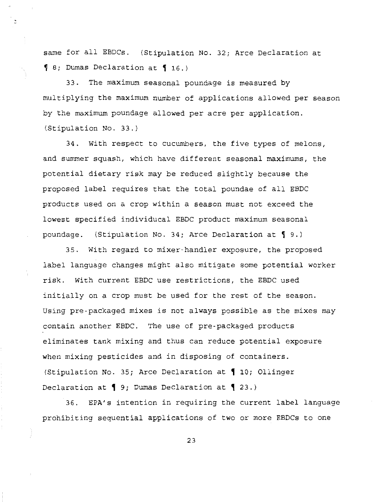same for all EBDCs. (Stipulation No. 32; Arce Declaration at 9 8; Dumas Declaration at 9 16.)

33. The maximum seasonal poundage is measured by multiplying the maximum number of applications allowed per season by the maximum poundage allowed per acre per application. (Stipulation No. 33.)

34. With respect to cucumbers, the five types of melons, and summer squash, which have different seasonal maximums, the potential dietary risk may be reduced slightly because the proposed label requires that the total poundae of all EBDC products used on a crop within a season must not exceed the lowest specified individucal EBDC product maximum seasonal poundage. (Stipulation No. 34; Arce Declaration at  $\P$  9.)

35. With regard to mixer-handler exposure, the proposed label language changes might also mitigate some potential worker risk. With current EBDC use restrictions, the EBDC used initially on a crop must be used for the rest of the season. Using pre-packaged mixes is not always possible as the mixes may contain another EBDC. The use of pre-packaged products eliminates tank mixing and thus can reduce potential exposure when mixing pesticides and in disposing of containers. (Stipulation No. 35; Arce Declaration at  $\big\{$  10; Ollinger Declaration at 1 9; Dumas Declaration at 1 23.)

36. EPA's intention in requiring the current label language prohibiting sequential applications of two or more EBDCs to one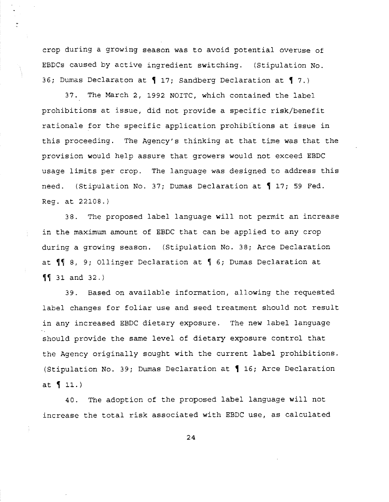crop during a growing season was to avoid potential overuse of EBDCs caused by active ingredient switching. (Stipulation No. 36; Dumas Declaraton at  $\P$  17; Sandberg Declaration at  $\P$  7.)

37. The March 2, 1992 NOITC, which contained the label prohibitions at issue, did not provide a specific risk/benefit rationale for the specific application prohibitions at issue in this proceeding. The Agency's thinking at that time was that the provision would help assure that growers would not exceed EBDC usage limits per crop. The language was designed to address this need. (Stipulation No. 37; Dumas Declaration at  $\P$  17; 59 Fed. Reg. at 22108.)

38. The proposed label language will not permit an increase in the maximum amount of EBDC that can be applied to any crop during a growing season. (Stipulation No. 38; Arce Declaration at  $\sqrt{\phantom{a}}\,$  8, 9; Ollinger Declaration at  $\sqrt{\phantom{a}}\,$  6; Dumas Declaration at  $\P$  31 and 32.)

39. Based on available information, allowing the requested label changes for foliar use and seed treatment should not result in any increased EBDC dietary exposure. The new label language should provide the same level of dietary exposure control that the Agency originally sought with the current label prohibitions. (Stipulation No. 39; Dumas Declaration at  $\big\{$  16; Arce Declaration at  $11.$ )

40. The adoption of the proposed label language will not increase the total risk associated with EBDC use, as calculated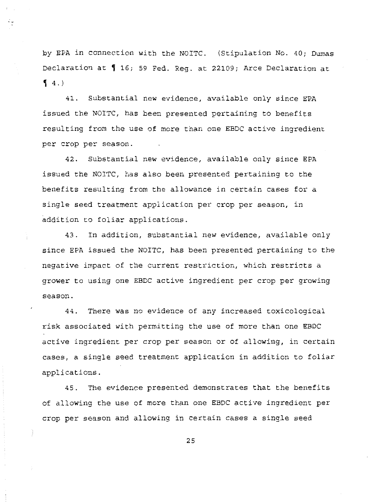by EPA in connection with the NOITC. (Stipulation No. 40; Dumas Declaration at 16; 59 Fed. Reg. at 22109; Arce Declaration at  $[4.)$ 

41. Substantial new evidence, available only since EPA issued the NOITC, has been presented pertaining to benefits resulting from the use of more than one EBDC active ingredient per crop per season.

42. Substantial new evidence, available only since EPA issued the NOITC, has also been presented pertaining to the benefits resulting from the allowance in certain cases for a single seed treatment application per crop per season, in addition to foliar applications.

43. In addition, substantial new evidence, available only since EPA issued the NOITC, has been presented pertaining to the negative impact of the current restriction, which restricts a grower to using one EBDC active ingredient per crop per growing season.

44. There was no evidence of any increased toxicological risk associated with permitting the use of more than one EBDC active ingredient per crop per season or of allowing, in certain cases, a single seed treatment application in addition to foliar applications.

45. The evidence presented demonstrates that the benefits of allowing the use of more than one EBDC active ingredient per crop per season and allowing in certain cases a single seed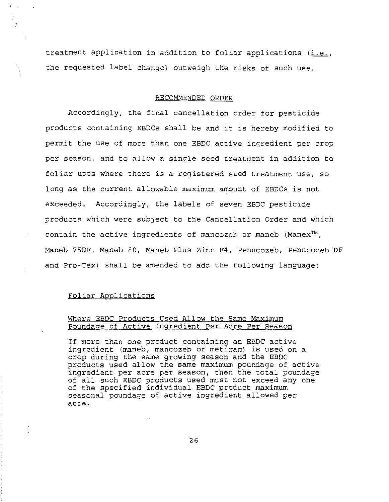treatment application in addition to foliar applications (i.e., the requested label change) outweigh the risks of such use.

#### RECOMMENDED ORDER

Accordingly, the final cancellation order for pesticide products containing EBDCs shall be and it is hereby modified to permit the use of more than one EBDC active ingredient per crop per season, and to allow a single seed treatment in addition to foliar uses where there is a registered seed treatment use, so long as the current allowable maximum amount of EBDCs is not exceeded. Accordingly, the labels of seven EBDC pesticide products which were subject to the Cancellation Order and which contain the active ingredients of mancozeb or maneb (Manex™, Maneb 75DF, Maneb 80, Maneb Plus Zinc F4, Penncozeb, Penncozeb DF and Pro·Tex) shall be amended to add the following language:

## Foliar Applications

## Where EBDC Products Used Allow the Same Maximum Poundage of Active Ingredient Per Acre Per Season

If more than one product containing an EBDC active ingredient (maneb, mancozeb or metiram) is used on a crop during the same growing season and the EBDC products used allow the same maximum poundage of active ingredient per acre per season, then the total poundage of all such EBDC products used must not exceed any one of the specified individual EBDC product maximum seasonal poundage of active ingredient allowed per acre.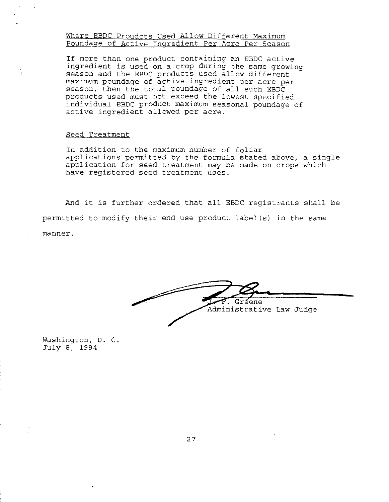## Where EBDC Proudcts Used Allow Different Maximum Poundage of Active Ingredient Per Acre Per Season

If more than one product containing an EBDC active ingredient is used on a crop during the same growing season and the EBDC products used allow different maximum poundage of active ingredient per acre per season, then the total poundage of all such EBDC products used must not exceed the lowest specified individual EBDC product maximum seasonal poundage of active ingredient allowed per acre.

### Seed Treatment

In addition to the maximum number of foliar applications permitted by the formula stated above, a single application for seed treatment may be made on crops which have registered seed treatment uses.

And it is further ordered that all EBDC registrants shall be permitted to modify their end use product label(s} in the same manner.

ene Administrative Law Judge

Washington, D. C. July 8, 1994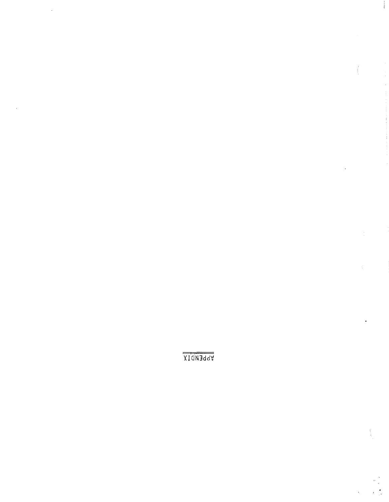XION3dd'v'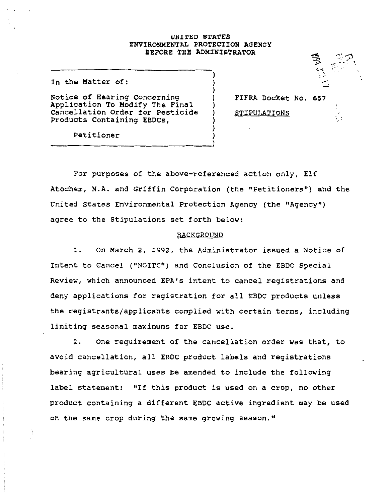## UNITED STATES ENVIRONMENTAL PROTECTION AGENCY BEFORE THE ADMINISTRATOR

) ) ) ) ) ) ) ) )

In the Matter of:

Notice of Hearing Concerning Application To Modify The Final cancellation Order for Pesticide Products Containing EBDCs,

-------------------------->

FIFRA Docket No. 657

*;\_o* ...,,

 $p \rightarrow -$ <sup>~</sup>;-- ' --:. \_\_\_.

.  $\sim$   $\sim$   $\sim$   $\sim$ 

STIPULATIONS

Petitioner

For purposes of the above-referenced action only, Elf Atochem, N.A. and Griffin Corporation (the "Petitioners") and the United States Environmental Protection Agency (the "Agency") agree to the Stipulations set forth below:

### BACKGROUND

1. On March *2,* 1992, the Administrator issued a Notice of Intent to Cancel ("NOITC") and Conclusion of the EBDC Special Review, which announced EPA's intent to cancel registrations and deny applications for registration for all EBDC products unless the registrants/applicants complied with certain terms, including limiting seasonal maximums for EBDC use.

*2.* one requirement of the cancellation order was that, to avoid cancellation, all EBDC product labels and registrations bearing agricultural uses be amended to include the following label statement: "If this product is used on a crop, no other product containing a different EBDC active ingredient may be used on the same crop during the same growing season."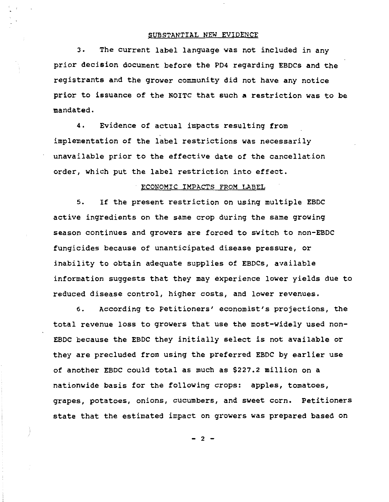### SUBSTANTIAL NEW EVIDENCE

3. The current label language was not included in any prior decision document before the PD4 regarding EBDCs and the registrants and the grower community did not have any notice prior to issuance of the NOITC that such a restriction was to be mandated.

4. Evidence of actual impacts resulting from implementation of the label restrictions was necessarily unavailable prior to the effective date of the cancellation order, which put the label restriction into effect.

#### ECONOMIC IMPACTS FROM LABEL

5. If the present restriction on using multiple EBDC active ingredients on the same crop during the same growing season continues and growers are forced to switch to non-EBDC fungicides because of unanticipated disease pressure, or inability to obtain adequate supplies of EBDCs, available information suggests that they may experience lower yields due to reduced disease control, higher costs, and lower revenues.

6. According to Petitioners' economist's projections, the total revenue loss to growers that use the most-widely used non-EBDC because the EBDC they initially select is not available or they are precluded from using the preferred EBDC by earlier use of another EBDC could total as much as \$227.2 million on a nationwide basis for the following crops: apples, tomatoes, grapes, potatoes, onions, cucumbers, and sweet corn. Petitioners state that the estimated impact on growers was prepared based on

- 2 -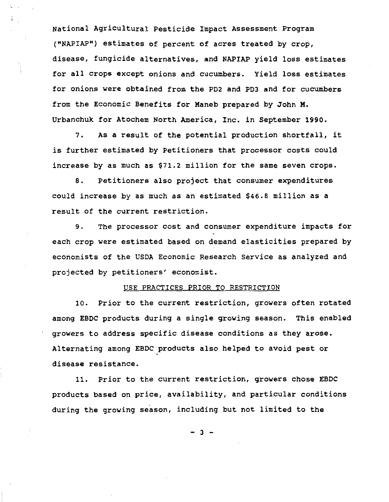National Agricultural Pesticide Impact Assessment Program ("NAPIAP") estimates of percent of acres treated by crop, disease, fungicide alternatives, and NAPIAP yield loss estimates for all crops except onions and cucumbers. Yield loss estimates for onions were obtained from the PD2 and P03 and for cucumbers from the Economic Benefits for Maneb prepared by John M. Urbanchuk for Atochem North America, Inc. in September 1990.

7. As a result of the potential production shortfall, it is further estimated by Petitioners that processor costs could increase by as much as \$71.2 million for the same seven crops.

8. Petitioners also project that consumer expenditures could increase by as much as an estimated \$46.8 million as a result of the current restriction.

9. The processor cost and consumer expenditure impacts for each crop were estimated based on demand elasticities prepared by economists of the USDA Economic Research Service as analyzed and projected by petitioners' economist.

### USE PRACTICES PRIOR TO RESTRICTION

10. Prior to the current restriction, growers often rotated among EBDC products during a single growing season. This enabled growers to address specific disease conditions as they arose. Alternating among EBOC products also helped to avoid pest or disease resistance.

11. Prior to the current restriction, growers chose EBOC products based on price, availability, and particular conditions during the growing season, including but not limited to the

- 3 -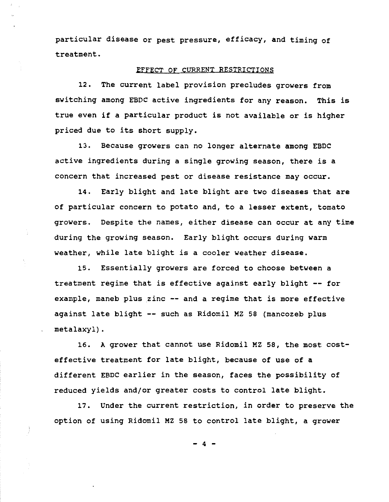particular disease or pest pressure, efficacy, and timing of treatment.

## EFFECT OF CURRENT RESTRICTIONS

12. The current label provision precludes growers from switching among EBDC active ingredients for any reason. This *is*  true even if a particular product *is* not available or *is* higher priced due to its short supply.

13. Because growers can no longer alternate among EBDC active ingredients during a single growing season, there *is* <sup>a</sup> concern that increased pest or disease resistance may occur.

14. Early blight and late blight are two diseases that are of particular concern to potato and, to a lesser extent, tomato growers. Despite the names, either disease can occur at any time during the growing season. Early blight occurs during warm weather, while late blight *is* a cooler weather disease.

15. Essentially growers are forced to choose between a treatment regime that *is* effective against early blight -- for example, maneb plus zinc -- and a regime that *is* more effective against late blight -- such as Ridomil MZ 58 (mancozeb plus metalaxyl).

16. A grower that cannot use Ridomil MZ 58, the most costeffective treatment for late blight, because of use of a different EBDC earlier in the season, faces the possibility of reduced yields and/or greater costs to control late blight.

17. Under the current restriction, in order to preserve the option of using Ridomil MZ 58 to control late blight, a grower

> - $4$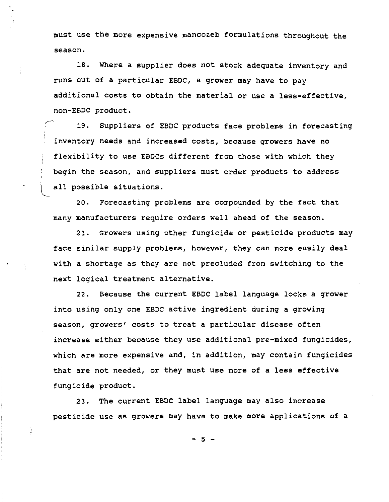must use the more expensive mancozeb formulations throughout the season.

18. Where a supplier does not stock adequate inventory and runs out of a particular EBOC, a grower may have to pay additional costs to obtain the material or use a less-effective, non-EBDC product.

19. Suppliers of EBDC products face problems in forecasting inventory needs and increased costs, because growers have no flexibility to use EBOCs different from those with which they begin the season, and suppliers must order products to address all possible situations.

20. Forecasting problems are compounded by the fact that many manufacturers require orders well ahead of the season.

'

21. Growers using other fungicide or pesticide products may face similar supply problems, however, they can more easily deal with a shortage as they are not precluded from switching to the next logical treatment alternative.

22. Because the current EBDC label language locks a grower into using only one EBDC active ingredient during a growing season, growers' costs to treat a particular disease often increase either because they use additional pre-mixed fungicides, which are more expensive and, in addition, may contain fungicides that are not needed, or they must use more of a less effective fungicide product.

23. The current EBOC label language may also increase pesticide use as growers may have to make more applications of a

- 5 -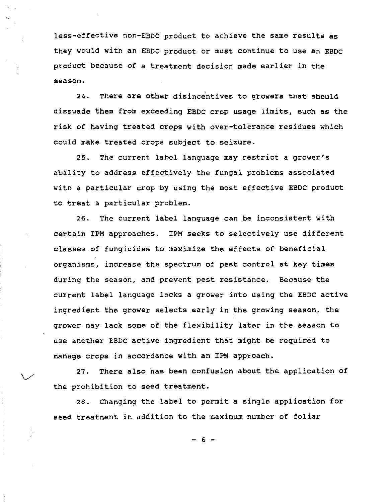less-effective non-EBDC product to achieve the same results as they would with an EBDC product or must continue to use an EBDC product because of a treatment decision made earlier in the season.

24. There are other disincentives to growers that should dissuade them from exceeding EBDC crop usage limits, such as the risk of having treated crops with over-tolerance residues which could make treated crops subject to seizure.

25. The current label language may restrict a grower's ability to address effectively the fungal problems associated with a particular crop by using the most effective EBDC product to treat a particular problem.

26. The current label language can be inconsistent with certain IPM approaches. IPM seeks to selectively use different classes of fungicides to maximize the effects of beneficial organisms, increase the spectrum of pest control at key times during the season, and prevent pest resistance. Because the current label language locks a grower into using the EBDC active ingredient the grower selects early in the growing season, the grower may lack some of the flexibility later in the season to use another EBDC active ingredient that might be required to manage crops in accordance with an IPM approach.

27. There also has been confusion about the application of the prohibition to seed treatment.

 $\searrow$ 

28. Changing the label to permit a single application for seed treatment in addition to the maximum number of foliar

- 6 -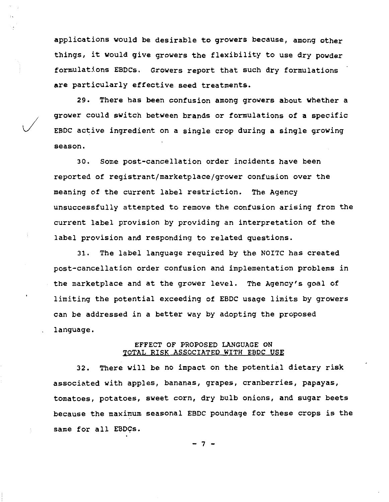applications would be desirable to growers because, among other things, it would give growers the flexibility to use dry powder formulations EBDCs. Growers report that such dry formulations are particularly effective seed treatments.

29. There has been confusion among growers about whether a grower could switch between brands or formulations of a specific EBDC active ingredient on a single crop during a single growing season.

*J* 

30. Some post-cancellation order incidents have been reported of registrant/marketplace/grower confusion over the meaning of the current label restriction. The Agency unsuccessfully attempted to remove the confusion arising from the current label provision by providing an interpretation of the label provision and responding to related questions.

31. The label language required by the NOITC has created post-cancellation order confusion and implementation problems in the marketplace and at the grower level. The Agency's goal of limiting the potential exceeding of EBDC usage limits by growers can be addressed in a better way by adopting the proposed language.

# EFFECT OF PROPOSED LANGUAGE ON TOTAL RISK ASSOCIATED WITH EBDC USE

32. There will be no impact on the potential dietary risk associated with apples, bananas, grapes, cranberries, papayas, tomatoes, potatoes, sweet corn, dry bulb onions, and sugar beets because the maximum seasonal EBDC poundage for these crops is the same for all EBDCs.

> -7 -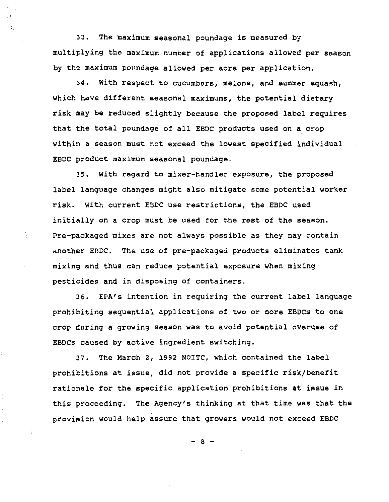33. The maximum seasonal poundage is measured by multiplying the maximum number of applications allowed per season by the maximum poundage allowed per acre per application.

 $\ddot{\varepsilon}_x$ 

34. With respect to cucumbers, melons, and summer squash, which have different seasonal maximums, the potential dietary risk may be reduced slightly because the proposed label requires that the total poundage of all EBDC products used on a crop within a season must not exceed the lowest specified individual EBDC product maximum seasonal poundage.

35. With regard to mixer-handler exposure, the proposed label language changes might also mitigate some potential worker risk. With current EBDC use restrictions, the EBDC used initially on a crop must be used for the rest of the season. Pre-packaged mixes are not always possible as they may contain another EBDC. The use of pre-packaged products eliminates tank mixing and thus can reduce potential exposure when mixing pesticides and in disposing of containers.

36. EPA's intention in requiring the current label language prohibiting sequential applications of two or more EBDCs to one crop during a growing season was to avoid potential overuse of EBDCs caused by active ingredient switching.

37. The March 2, 1992 NOITC, which contained the label prohibitions at issue, did not provide a specific risk/benefit rationale for the specific application prohibitions at issue in this proceeding. The Agency's thinking at that time was that the provision would help assure that growers would not exceed EBDC

- 8 -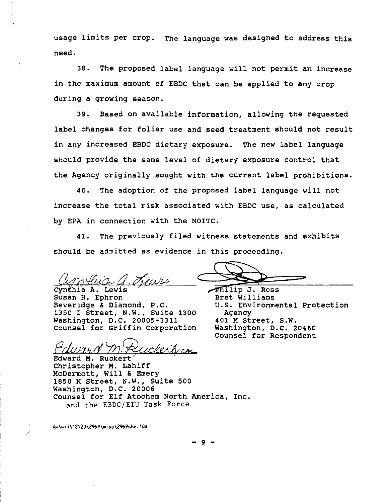usage limits per crop. The language was designed to address this need.

38. The proposed label language will not permit an increase in the maximum amount of EBDC that can be applied to any crop during a growing season.

39. Based on available information, allowing the requested label changes for foliar use and seed treatment should not result in any increased EBDC dietary exposure. The new label language should provide the same level of dietary exposure control that the Agency originally sought with the current label prohibitions.

40. The adoption of the proposed label language will not increase the total risk associated with EBDC use, as calculated by EPA in connection with the NOITC.

41. The previously filed witness statements and exhibits should be admitted as evidence in this proceeding.

~<J&,o,\_d A. Lewi• *c,Uv.a c* 

Cynťhia A. Lewis Susan H. Ephron Bret Williams Beveridge & Diamond, P.C. U.S. Environmental Protection 1350 I Street, N.W., suite 1300 Agency Washington, D.C. 20005-3311 401 M Street, s.w. Counsel for Griffin Corporation Washington, D.C. 20460

Philip J. Ross ~ =

Counsel for Respondent

Edward M. Ruckerbica

Edward M. Ruckert Christopher M. Lahiff McDermott, Will & Emery 1850 K Street, N.W., suite 500 Washington, D.C. 20006 Counsel for Elf Atochem North America, Inc. and the EBDC/ETU Task Force

q:\cli\12\20\2969\misc\2969she.10A

9 -

-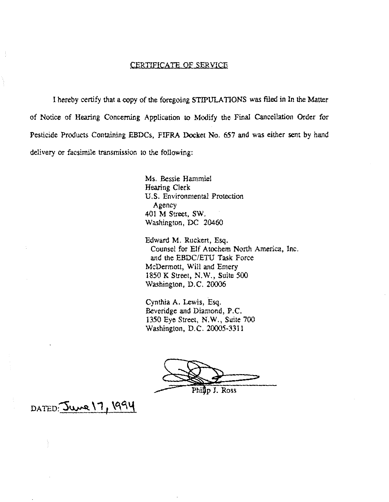# CERTIFICATE OF SERVICE

I hereby certify that a copy of the foregoing STIPULATIONS was filed in In the Matter of Notice of Hearing Concerning Application to Modify the Final Cancellation Order for Pesticide Products Containing EBDCs, FIFRA Docket No. 657 and was either sent by hand delivery or facsimile transmission to the following:

> Ms. Bessie Hammiel Hearing Clerk U.S. Environmental Protection Agency 401 M Street, SW. Washington, DC 20460

Edward M. Ruckert, Esq. Counsel for Elf Atochem North America, Inc. and the EBDC/ETU Task Force McDermott, Will and Emery 1850 K Street, N.W., Suite *500*  Washington, D.C. 20006

Cynthia A. Lewis, Esq. Beveridge and Diamond, P.C. 1350 Eye Street, N.W., Suite 700 Washington, D.C. 20005-3311

 $\bigotimes$ Philip J. Ross

 $DATED:  $Ju$  17, 1994$